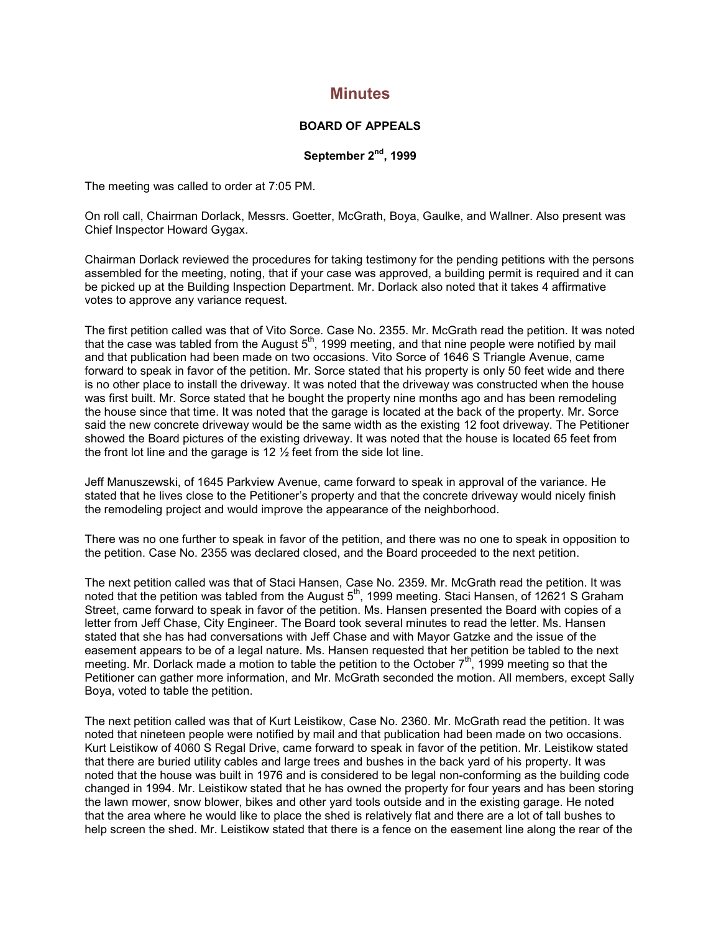## **Minutes**

## **BOARD OF APPEALS**

## **September 2nd, 1999**

The meeting was called to order at 7:05 PM.

On roll call, Chairman Dorlack, Messrs. Goetter, McGrath, Boya, Gaulke, and Wallner. Also present was Chief Inspector Howard Gygax.

Chairman Dorlack reviewed the procedures for taking testimony for the pending petitions with the persons assembled for the meeting, noting, that if your case was approved, a building permit is required and it can be picked up at the Building Inspection Department. Mr. Dorlack also noted that it takes 4 affirmative votes to approve any variance request.

The first petition called was that of Vito Sorce. Case No. 2355. Mr. McGrath read the petition. It was noted that the case was tabled from the August  $5<sup>th</sup>$ , 1999 meeting, and that nine people were notified by mail and that publication had been made on two occasions. Vito Sorce of 1646 S Triangle Avenue, came forward to speak in favor of the petition. Mr. Sorce stated that his property is only 50 feet wide and there is no other place to install the driveway. It was noted that the driveway was constructed when the house was first built. Mr. Sorce stated that he bought the property nine months ago and has been remodeling the house since that time. It was noted that the garage is located at the back of the property. Mr. Sorce said the new concrete driveway would be the same width as the existing 12 foot driveway. The Petitioner showed the Board pictures of the existing driveway. It was noted that the house is located 65 feet from the front lot line and the garage is 12  $\frac{1}{2}$  feet from the side lot line.

Jeff Manuszewski, of 1645 Parkview Avenue, came forward to speak in approval of the variance. He stated that he lives close to the Petitioner's property and that the concrete driveway would nicely finish the remodeling project and would improve the appearance of the neighborhood.

There was no one further to speak in favor of the petition, and there was no one to speak in opposition to the petition. Case No. 2355 was declared closed, and the Board proceeded to the next petition.

The next petition called was that of Staci Hansen, Case No. 2359. Mr. McGrath read the petition. It was noted that the petition was tabled from the August  $5<sup>th</sup>$ , 1999 meeting. Staci Hansen, of 12621 S Graham Street, came forward to speak in favor of the petition. Ms. Hansen presented the Board with copies of a letter from Jeff Chase, City Engineer. The Board took several minutes to read the letter. Ms. Hansen stated that she has had conversations with Jeff Chase and with Mayor Gatzke and the issue of the easement appears to be of a legal nature. Ms. Hansen requested that her petition be tabled to the next meeting. Mr. Dorlack made a motion to table the petition to the October 7<sup>th</sup>, 1999 meeting so that the Petitioner can gather more information, and Mr. McGrath seconded the motion. All members, except Sally Boya, voted to table the petition.

The next petition called was that of Kurt Leistikow, Case No. 2360. Mr. McGrath read the petition. It was noted that nineteen people were notified by mail and that publication had been made on two occasions. Kurt Leistikow of 4060 S Regal Drive, came forward to speak in favor of the petition. Mr. Leistikow stated that there are buried utility cables and large trees and bushes in the back yard of his property. It was noted that the house was built in 1976 and is considered to be legal non-conforming as the building code changed in 1994. Mr. Leistikow stated that he has owned the property for four years and has been storing the lawn mower, snow blower, bikes and other yard tools outside and in the existing garage. He noted that the area where he would like to place the shed is relatively flat and there are a lot of tall bushes to help screen the shed. Mr. Leistikow stated that there is a fence on the easement line along the rear of the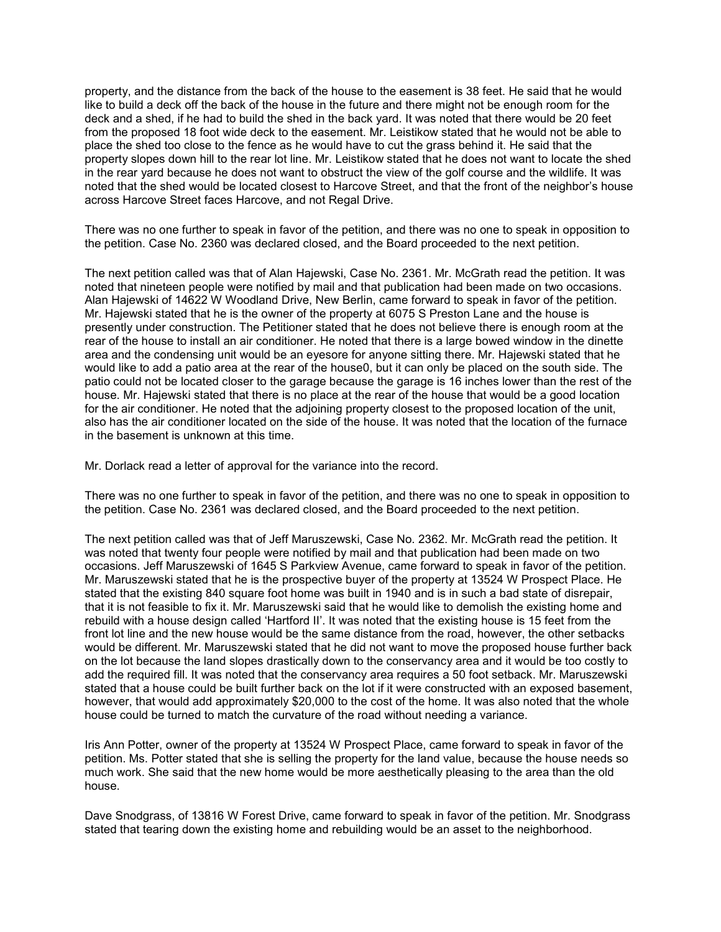property, and the distance from the back of the house to the easement is 38 feet. He said that he would like to build a deck off the back of the house in the future and there might not be enough room for the deck and a shed, if he had to build the shed in the back yard. It was noted that there would be 20 feet from the proposed 18 foot wide deck to the easement. Mr. Leistikow stated that he would not be able to place the shed too close to the fence as he would have to cut the grass behind it. He said that the property slopes down hill to the rear lot line. Mr. Leistikow stated that he does not want to locate the shed in the rear yard because he does not want to obstruct the view of the golf course and the wildlife. It was noted that the shed would be located closest to Harcove Street, and that the front of the neighbor's house across Harcove Street faces Harcove, and not Regal Drive.

There was no one further to speak in favor of the petition, and there was no one to speak in opposition to the petition. Case No. 2360 was declared closed, and the Board proceeded to the next petition.

The next petition called was that of Alan Hajewski, Case No. 2361. Mr. McGrath read the petition. It was noted that nineteen people were notified by mail and that publication had been made on two occasions. Alan Hajewski of 14622 W Woodland Drive, New Berlin, came forward to speak in favor of the petition. Mr. Hajewski stated that he is the owner of the property at 6075 S Preston Lane and the house is presently under construction. The Petitioner stated that he does not believe there is enough room at the rear of the house to install an air conditioner. He noted that there is a large bowed window in the dinette area and the condensing unit would be an eyesore for anyone sitting there. Mr. Hajewski stated that he would like to add a patio area at the rear of the house0, but it can only be placed on the south side. The patio could not be located closer to the garage because the garage is 16 inches lower than the rest of the house. Mr. Hajewski stated that there is no place at the rear of the house that would be a good location for the air conditioner. He noted that the adjoining property closest to the proposed location of the unit, also has the air conditioner located on the side of the house. It was noted that the location of the furnace in the basement is unknown at this time.

Mr. Dorlack read a letter of approval for the variance into the record.

There was no one further to speak in favor of the petition, and there was no one to speak in opposition to the petition. Case No. 2361 was declared closed, and the Board proceeded to the next petition.

The next petition called was that of Jeff Maruszewski, Case No. 2362. Mr. McGrath read the petition. It was noted that twenty four people were notified by mail and that publication had been made on two occasions. Jeff Maruszewski of 1645 S Parkview Avenue, came forward to speak in favor of the petition. Mr. Maruszewski stated that he is the prospective buyer of the property at 13524 W Prospect Place. He stated that the existing 840 square foot home was built in 1940 and is in such a bad state of disrepair, that it is not feasible to fix it. Mr. Maruszewski said that he would like to demolish the existing home and rebuild with a house design called 'Hartford II'. It was noted that the existing house is 15 feet from the front lot line and the new house would be the same distance from the road, however, the other setbacks would be different. Mr. Maruszewski stated that he did not want to move the proposed house further back on the lot because the land slopes drastically down to the conservancy area and it would be too costly to add the required fill. It was noted that the conservancy area requires a 50 foot setback. Mr. Maruszewski stated that a house could be built further back on the lot if it were constructed with an exposed basement, however, that would add approximately \$20,000 to the cost of the home. It was also noted that the whole house could be turned to match the curvature of the road without needing a variance.

Iris Ann Potter, owner of the property at 13524 W Prospect Place, came forward to speak in favor of the petition. Ms. Potter stated that she is selling the property for the land value, because the house needs so much work. She said that the new home would be more aesthetically pleasing to the area than the old house.

Dave Snodgrass, of 13816 W Forest Drive, came forward to speak in favor of the petition. Mr. Snodgrass stated that tearing down the existing home and rebuilding would be an asset to the neighborhood.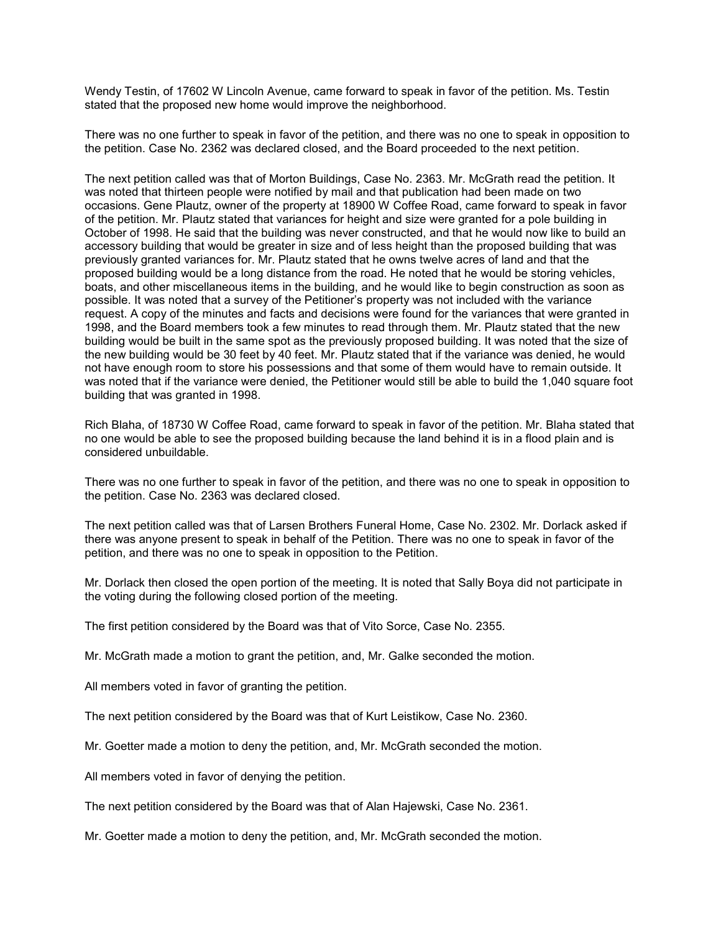Wendy Testin, of 17602 W Lincoln Avenue, came forward to speak in favor of the petition. Ms. Testin stated that the proposed new home would improve the neighborhood.

There was no one further to speak in favor of the petition, and there was no one to speak in opposition to the petition. Case No. 2362 was declared closed, and the Board proceeded to the next petition.

The next petition called was that of Morton Buildings, Case No. 2363. Mr. McGrath read the petition. It was noted that thirteen people were notified by mail and that publication had been made on two occasions. Gene Plautz, owner of the property at 18900 W Coffee Road, came forward to speak in favor of the petition. Mr. Plautz stated that variances for height and size were granted for a pole building in October of 1998. He said that the building was never constructed, and that he would now like to build an accessory building that would be greater in size and of less height than the proposed building that was previously granted variances for. Mr. Plautz stated that he owns twelve acres of land and that the proposed building would be a long distance from the road. He noted that he would be storing vehicles, boats, and other miscellaneous items in the building, and he would like to begin construction as soon as possible. It was noted that a survey of the Petitioner's property was not included with the variance request. A copy of the minutes and facts and decisions were found for the variances that were granted in 1998, and the Board members took a few minutes to read through them. Mr. Plautz stated that the new building would be built in the same spot as the previously proposed building. It was noted that the size of the new building would be 30 feet by 40 feet. Mr. Plautz stated that if the variance was denied, he would not have enough room to store his possessions and that some of them would have to remain outside. It was noted that if the variance were denied, the Petitioner would still be able to build the 1,040 square foot building that was granted in 1998.

Rich Blaha, of 18730 W Coffee Road, came forward to speak in favor of the petition. Mr. Blaha stated that no one would be able to see the proposed building because the land behind it is in a flood plain and is considered unbuildable.

There was no one further to speak in favor of the petition, and there was no one to speak in opposition to the petition. Case No. 2363 was declared closed.

The next petition called was that of Larsen Brothers Funeral Home, Case No. 2302. Mr. Dorlack asked if there was anyone present to speak in behalf of the Petition. There was no one to speak in favor of the petition, and there was no one to speak in opposition to the Petition.

Mr. Dorlack then closed the open portion of the meeting. It is noted that Sally Boya did not participate in the voting during the following closed portion of the meeting.

The first petition considered by the Board was that of Vito Sorce, Case No. 2355.

Mr. McGrath made a motion to grant the petition, and, Mr. Galke seconded the motion.

All members voted in favor of granting the petition.

The next petition considered by the Board was that of Kurt Leistikow, Case No. 2360.

Mr. Goetter made a motion to deny the petition, and, Mr. McGrath seconded the motion.

All members voted in favor of denying the petition.

The next petition considered by the Board was that of Alan Hajewski, Case No. 2361.

Mr. Goetter made a motion to deny the petition, and, Mr. McGrath seconded the motion.